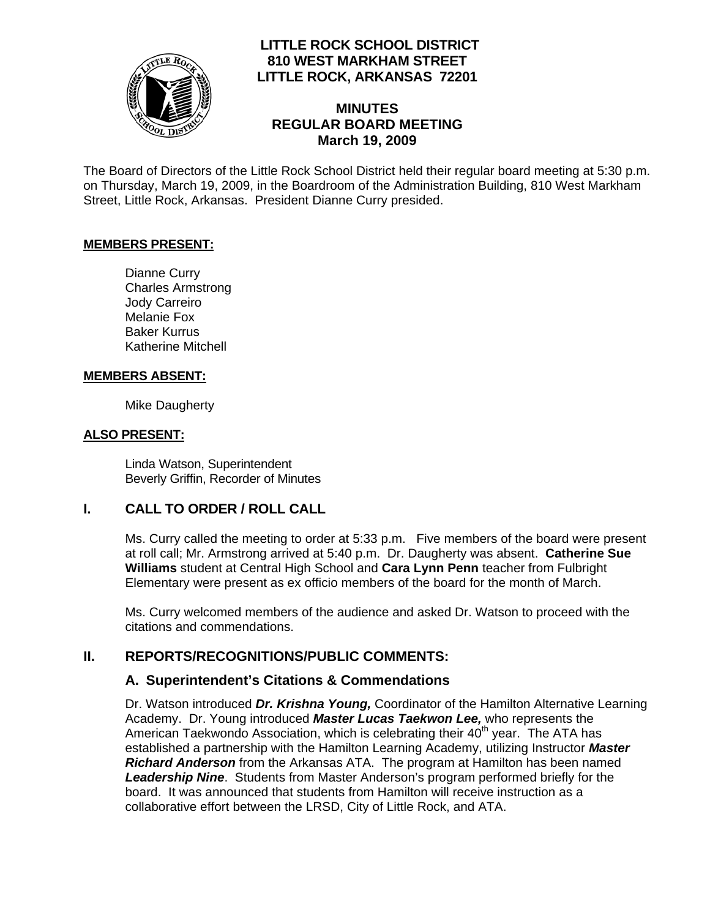

## **LITTLE ROCK SCHOOL DISTRICT 810 WEST MARKHAM STREET LITTLE ROCK, ARKANSAS 72201**

### **MINUTES REGULAR BOARD MEETING March 19, 2009**

The Board of Directors of the Little Rock School District held their regular board meeting at 5:30 p.m. on Thursday, March 19, 2009, in the Boardroom of the Administration Building, 810 West Markham Street, Little Rock, Arkansas. President Dianne Curry presided.

#### **MEMBERS PRESENT:**

Dianne Curry Charles Armstrong Jody Carreiro Melanie Fox Baker Kurrus Katherine Mitchell

#### **MEMBERS ABSENT:**

Mike Daugherty

#### **ALSO PRESENT:**

 Linda Watson, Superintendent Beverly Griffin, Recorder of Minutes

### **I. CALL TO ORDER / ROLL CALL**

Ms. Curry called the meeting to order at 5:33 p.m. Five members of the board were present at roll call; Mr. Armstrong arrived at 5:40 p.m. Dr. Daugherty was absent. **Catherine Sue Williams** student at Central High School and **Cara Lynn Penn** teacher from Fulbright Elementary were present as ex officio members of the board for the month of March.

Ms. Curry welcomed members of the audience and asked Dr. Watson to proceed with the citations and commendations.

### **II. REPORTS/RECOGNITIONS/PUBLIC COMMENTS:**

### **A. Superintendent's Citations & Commendations**

Dr. Watson introduced *Dr. Krishna Young,* Coordinator of the Hamilton Alternative Learning Academy. Dr. Young introduced *Master Lucas Taekwon Lee,* who represents the American Taekwondo Association, which is celebrating their  $40<sup>th</sup>$  year. The ATA has established a partnership with the Hamilton Learning Academy, utilizing Instructor *Master Richard Anderson* from the Arkansas ATA. The program at Hamilton has been named *Leadership Nine*. Students from Master Anderson's program performed briefly for the board. It was announced that students from Hamilton will receive instruction as a collaborative effort between the LRSD, City of Little Rock, and ATA.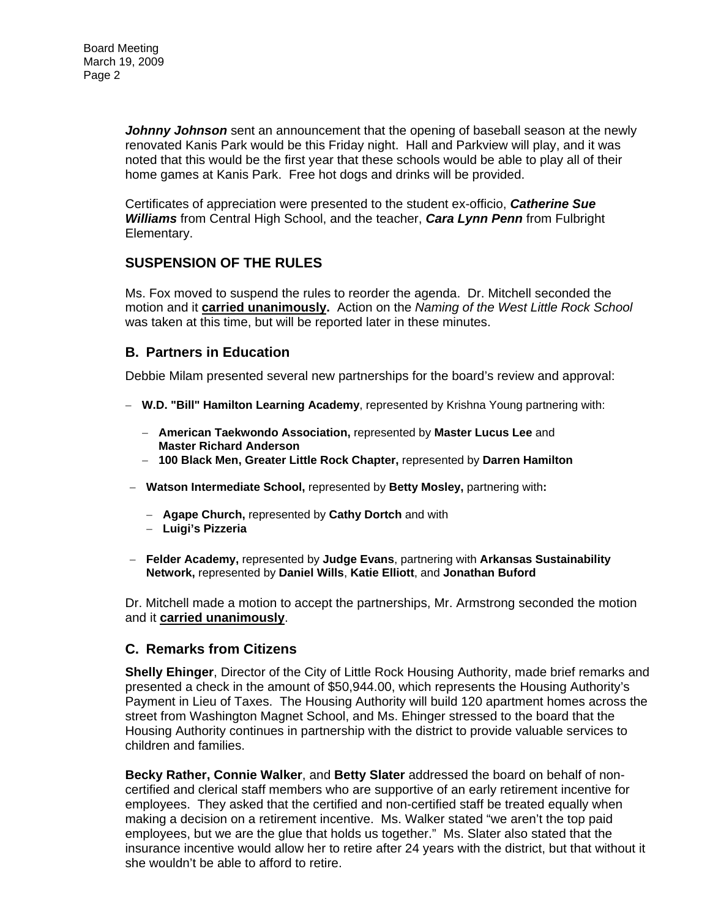*Johnny Johnson* sent an announcement that the opening of baseball season at the newly renovated Kanis Park would be this Friday night. Hall and Parkview will play, and it was noted that this would be the first year that these schools would be able to play all of their home games at Kanis Park. Free hot dogs and drinks will be provided.

Certificates of appreciation were presented to the student ex-officio, *Catherine Sue Williams* from Central High School, and the teacher, *Cara Lynn Penn* from Fulbright Elementary.

## **SUSPENSION OF THE RULES**

Ms. Fox moved to suspend the rules to reorder the agenda. Dr. Mitchell seconded the motion and it **carried unanimously.** Action on the *Naming of the West Little Rock School*  was taken at this time, but will be reported later in these minutes.

### **B. Partners in Education**

Debbie Milam presented several new partnerships for the board's review and approval:

- − **W.D. "Bill" Hamilton Learning Academy**, represented by Krishna Young partnering with:
	- − **American Taekwondo Association,** represented by **Master Lucus Lee** and **Master Richard Anderson**
	- − **100 Black Men, Greater Little Rock Chapter,** represented by **Darren Hamilton**
- − **Watson Intermediate School,** represented by **Betty Mosley,** partnering with**:**
	- − **Agape Church,** represented by **Cathy Dortch** and with
	- − **Luigi's Pizzeria**
- − **Felder Academy,** represented by **Judge Evans**, partnering with **Arkansas Sustainability Network,** represented by **Daniel Wills**, **Katie Elliott**, and **Jonathan Buford**

Dr. Mitchell made a motion to accept the partnerships, Mr. Armstrong seconded the motion and it **carried unanimously**.

### **C. Remarks from Citizens**

**Shelly Ehinger**, Director of the City of Little Rock Housing Authority, made brief remarks and presented a check in the amount of \$50,944.00, which represents the Housing Authority's Payment in Lieu of Taxes. The Housing Authority will build 120 apartment homes across the street from Washington Magnet School, and Ms. Ehinger stressed to the board that the Housing Authority continues in partnership with the district to provide valuable services to children and families.

**Becky Rather, Connie Walker**, and **Betty Slater** addressed the board on behalf of noncertified and clerical staff members who are supportive of an early retirement incentive for employees. They asked that the certified and non-certified staff be treated equally when making a decision on a retirement incentive. Ms. Walker stated "we aren't the top paid employees, but we are the glue that holds us together." Ms. Slater also stated that the insurance incentive would allow her to retire after 24 years with the district, but that without it she wouldn't be able to afford to retire.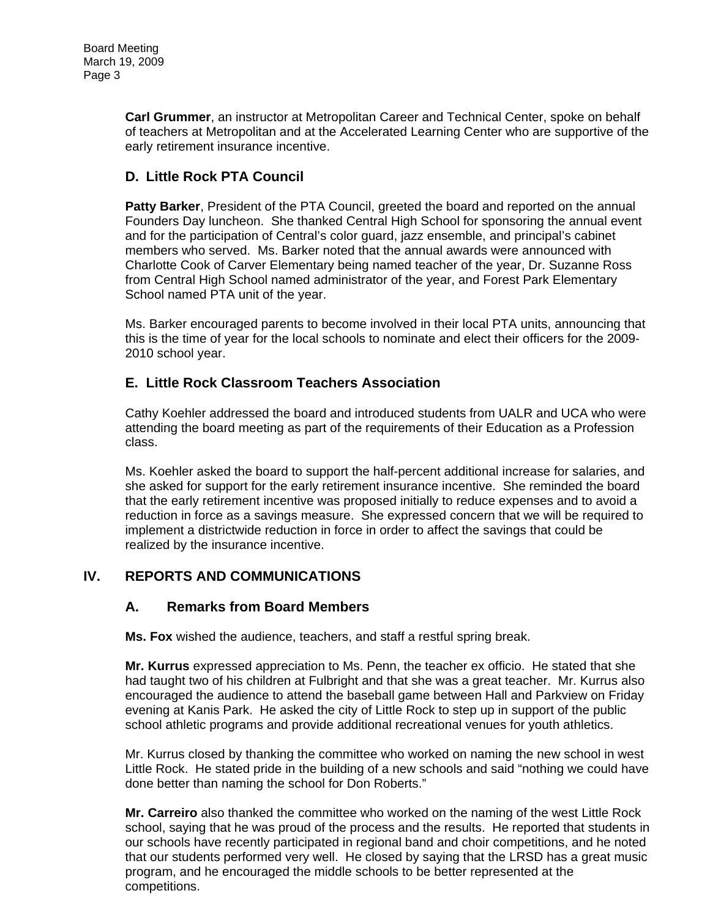**Carl Grummer**, an instructor at Metropolitan Career and Technical Center, spoke on behalf of teachers at Metropolitan and at the Accelerated Learning Center who are supportive of the early retirement insurance incentive.

## **D. Little Rock PTA Council**

**Patty Barker**, President of the PTA Council, greeted the board and reported on the annual Founders Day luncheon. She thanked Central High School for sponsoring the annual event and for the participation of Central's color guard, jazz ensemble, and principal's cabinet members who served. Ms. Barker noted that the annual awards were announced with Charlotte Cook of Carver Elementary being named teacher of the year, Dr. Suzanne Ross from Central High School named administrator of the year, and Forest Park Elementary School named PTA unit of the year.

Ms. Barker encouraged parents to become involved in their local PTA units, announcing that this is the time of year for the local schools to nominate and elect their officers for the 2009- 2010 school year.

### **E. Little Rock Classroom Teachers Association**

Cathy Koehler addressed the board and introduced students from UALR and UCA who were attending the board meeting as part of the requirements of their Education as a Profession class.

Ms. Koehler asked the board to support the half-percent additional increase for salaries, and she asked for support for the early retirement insurance incentive. She reminded the board that the early retirement incentive was proposed initially to reduce expenses and to avoid a reduction in force as a savings measure. She expressed concern that we will be required to implement a districtwide reduction in force in order to affect the savings that could be realized by the insurance incentive.

## **IV. REPORTS AND COMMUNICATIONS**

### **A. Remarks from Board Members**

**Ms. Fox** wished the audience, teachers, and staff a restful spring break.

**Mr. Kurrus** expressed appreciation to Ms. Penn, the teacher ex officio. He stated that she had taught two of his children at Fulbright and that she was a great teacher. Mr. Kurrus also encouraged the audience to attend the baseball game between Hall and Parkview on Friday evening at Kanis Park. He asked the city of Little Rock to step up in support of the public school athletic programs and provide additional recreational venues for youth athletics.

Mr. Kurrus closed by thanking the committee who worked on naming the new school in west Little Rock. He stated pride in the building of a new schools and said "nothing we could have done better than naming the school for Don Roberts."

**Mr. Carreiro** also thanked the committee who worked on the naming of the west Little Rock school, saying that he was proud of the process and the results. He reported that students in our schools have recently participated in regional band and choir competitions, and he noted that our students performed very well. He closed by saying that the LRSD has a great music program, and he encouraged the middle schools to be better represented at the competitions.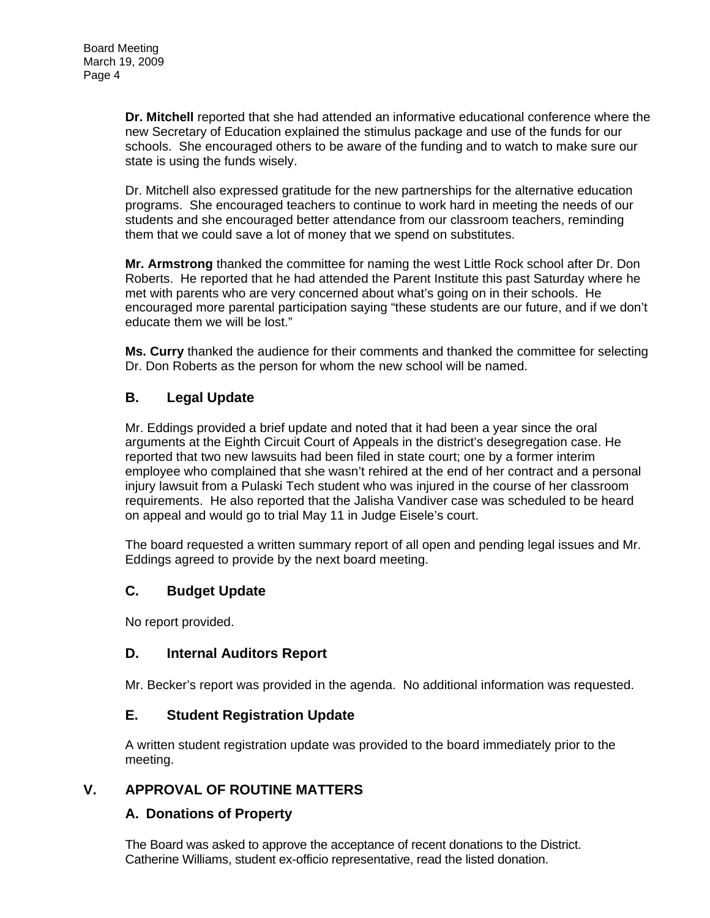**Dr. Mitchell** reported that she had attended an informative educational conference where the new Secretary of Education explained the stimulus package and use of the funds for our schools. She encouraged others to be aware of the funding and to watch to make sure our state is using the funds wisely.

Dr. Mitchell also expressed gratitude for the new partnerships for the alternative education programs. She encouraged teachers to continue to work hard in meeting the needs of our students and she encouraged better attendance from our classroom teachers, reminding them that we could save a lot of money that we spend on substitutes.

**Mr. Armstrong** thanked the committee for naming the west Little Rock school after Dr. Don Roberts. He reported that he had attended the Parent Institute this past Saturday where he met with parents who are very concerned about what's going on in their schools. He encouraged more parental participation saying "these students are our future, and if we don't educate them we will be lost."

**Ms. Curry** thanked the audience for their comments and thanked the committee for selecting Dr. Don Roberts as the person for whom the new school will be named.

## **B. Legal Update**

Mr. Eddings provided a brief update and noted that it had been a year since the oral arguments at the Eighth Circuit Court of Appeals in the district's desegregation case. He reported that two new lawsuits had been filed in state court; one by a former interim employee who complained that she wasn't rehired at the end of her contract and a personal injury lawsuit from a Pulaski Tech student who was injured in the course of her classroom requirements. He also reported that the Jalisha Vandiver case was scheduled to be heard on appeal and would go to trial May 11 in Judge Eisele's court.

The board requested a written summary report of all open and pending legal issues and Mr. Eddings agreed to provide by the next board meeting.

### **C. Budget Update**

No report provided.

### **D. Internal Auditors Report**

Mr. Becker's report was provided in the agenda. No additional information was requested.

### **E. Student Registration Update**

A written student registration update was provided to the board immediately prior to the meeting.

### **V. APPROVAL OF ROUTINE MATTERS**

### **A. Donations of Property**

The Board was asked to approve the acceptance of recent donations to the District. Catherine Williams, student ex-officio representative, read the listed donation.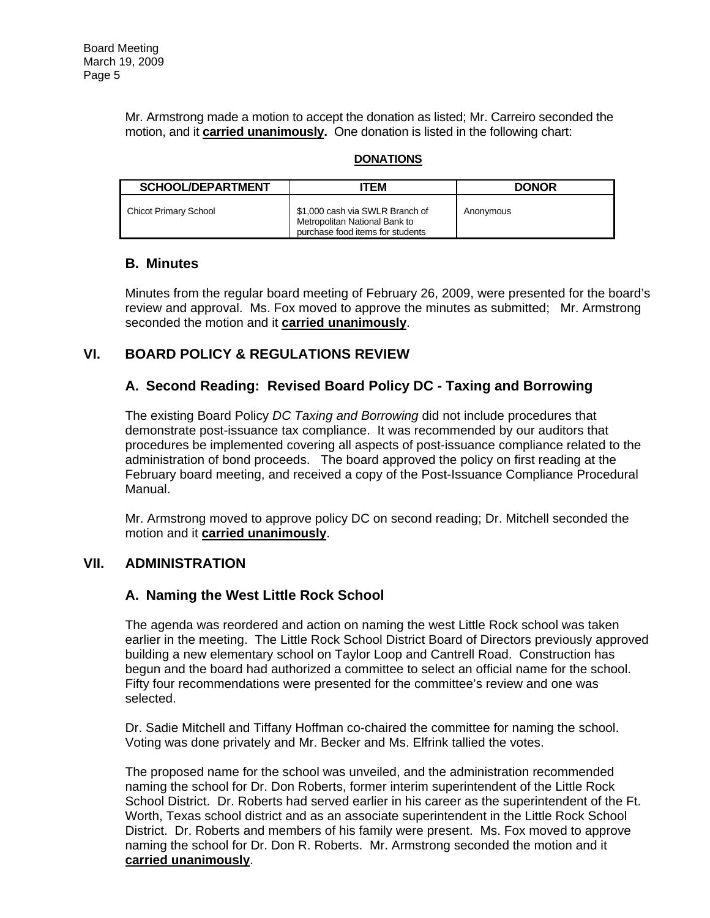Mr. Armstrong made a motion to accept the donation as listed; Mr. Carreiro seconded the motion, and it **carried unanimously.** One donation is listed in the following chart:

#### **DONATIONS**

| <b>SCHOOL/DEPARTMENT</b>     | TEM                                                                                                  | <b>DONOR</b> |
|------------------------------|------------------------------------------------------------------------------------------------------|--------------|
| <b>Chicot Primary School</b> | \$1,000 cash via SWLR Branch of<br>Metropolitan National Bank to<br>purchase food items for students | Anonymous    |

### **B. Minutes**

Minutes from the regular board meeting of February 26, 2009, were presented for the board's review and approval. Ms. Fox moved to approve the minutes as submitted; Mr. Armstrong seconded the motion and it **carried unanimously**.

## **VI. BOARD POLICY & REGULATIONS REVIEW**

## **A. Second Reading: Revised Board Policy DC - Taxing and Borrowing**

The existing Board Policy *DC Taxing and Borrowing* did not include procedures that demonstrate post-issuance tax compliance. It was recommended by our auditors that procedures be implemented covering all aspects of post-issuance compliance related to the administration of bond proceeds. The board approved the policy on first reading at the February board meeting, and received a copy of the Post-Issuance Compliance Procedural Manual.

Mr. Armstrong moved to approve policy DC on second reading; Dr. Mitchell seconded the motion and it **carried unanimously**.

### **VII. ADMINISTRATION**

### **A. Naming the West Little Rock School**

The agenda was reordered and action on naming the west Little Rock school was taken earlier in the meeting. The Little Rock School District Board of Directors previously approved building a new elementary school on Taylor Loop and Cantrell Road. Construction has begun and the board had authorized a committee to select an official name for the school. Fifty four recommendations were presented for the committee's review and one was selected.

Dr. Sadie Mitchell and Tiffany Hoffman co-chaired the committee for naming the school. Voting was done privately and Mr. Becker and Ms. Elfrink tallied the votes.

The proposed name for the school was unveiled, and the administration recommended naming the school for Dr. Don Roberts, former interim superintendent of the Little Rock School District. Dr. Roberts had served earlier in his career as the superintendent of the Ft. Worth, Texas school district and as an associate superintendent in the Little Rock School District. Dr. Roberts and members of his family were present. Ms. Fox moved to approve naming the school for Dr. Don R. Roberts. Mr. Armstrong seconded the motion and it **carried unanimously**.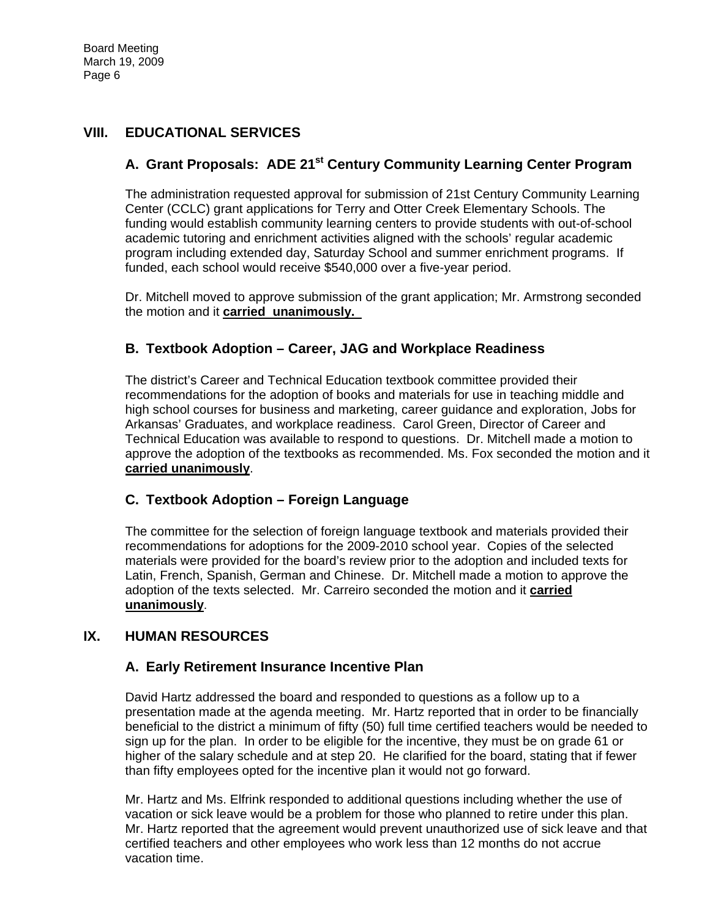## **VIII. EDUCATIONAL SERVICES**

# **A. Grant Proposals: ADE 21st Century Community Learning Center Program**

The administration requested approval for submission of 21st Century Community Learning Center (CCLC) grant applications for Terry and Otter Creek Elementary Schools. The funding would establish community learning centers to provide students with out-of-school academic tutoring and enrichment activities aligned with the schools' regular academic program including extended day, Saturday School and summer enrichment programs. If funded, each school would receive \$540,000 over a five-year period.

Dr. Mitchell moved to approve submission of the grant application; Mr. Armstrong seconded the motion and it **carried unanimously.** 

### **B. Textbook Adoption – Career, JAG and Workplace Readiness**

The district's Career and Technical Education textbook committee provided their recommendations for the adoption of books and materials for use in teaching middle and high school courses for business and marketing, career guidance and exploration, Jobs for Arkansas' Graduates, and workplace readiness. Carol Green, Director of Career and Technical Education was available to respond to questions. Dr. Mitchell made a motion to approve the adoption of the textbooks as recommended. Ms. Fox seconded the motion and it **carried unanimously**.

### **C. Textbook Adoption – Foreign Language**

The committee for the selection of foreign language textbook and materials provided their recommendations for adoptions for the 2009-2010 school year. Copies of the selected materials were provided for the board's review prior to the adoption and included texts for Latin, French, Spanish, German and Chinese. Dr. Mitchell made a motion to approve the adoption of the texts selected. Mr. Carreiro seconded the motion and it **carried unanimously**.

### **IX. HUMAN RESOURCES**

### **A. Early Retirement Insurance Incentive Plan**

David Hartz addressed the board and responded to questions as a follow up to a presentation made at the agenda meeting. Mr. Hartz reported that in order to be financially beneficial to the district a minimum of fifty (50) full time certified teachers would be needed to sign up for the plan. In order to be eligible for the incentive, they must be on grade 61 or higher of the salary schedule and at step 20. He clarified for the board, stating that if fewer than fifty employees opted for the incentive plan it would not go forward.

Mr. Hartz and Ms. Elfrink responded to additional questions including whether the use of vacation or sick leave would be a problem for those who planned to retire under this plan. Mr. Hartz reported that the agreement would prevent unauthorized use of sick leave and that certified teachers and other employees who work less than 12 months do not accrue vacation time.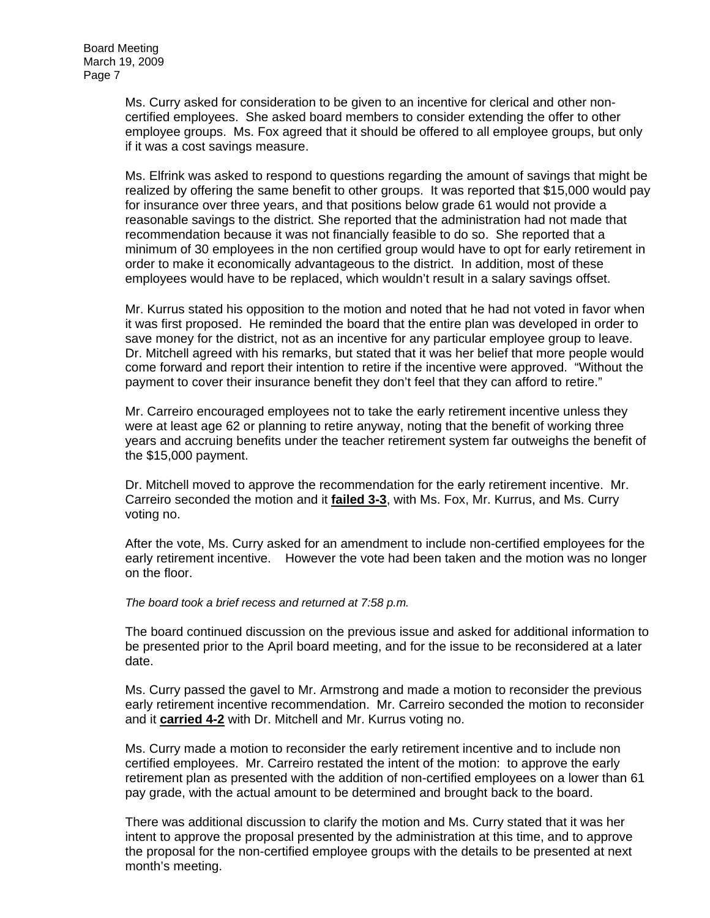Ms. Curry asked for consideration to be given to an incentive for clerical and other noncertified employees. She asked board members to consider extending the offer to other employee groups. Ms. Fox agreed that it should be offered to all employee groups, but only if it was a cost savings measure.

Ms. Elfrink was asked to respond to questions regarding the amount of savings that might be realized by offering the same benefit to other groups. It was reported that \$15,000 would pay for insurance over three years, and that positions below grade 61 would not provide a reasonable savings to the district. She reported that the administration had not made that recommendation because it was not financially feasible to do so. She reported that a minimum of 30 employees in the non certified group would have to opt for early retirement in order to make it economically advantageous to the district. In addition, most of these employees would have to be replaced, which wouldn't result in a salary savings offset.

Mr. Kurrus stated his opposition to the motion and noted that he had not voted in favor when it was first proposed. He reminded the board that the entire plan was developed in order to save money for the district, not as an incentive for any particular employee group to leave. Dr. Mitchell agreed with his remarks, but stated that it was her belief that more people would come forward and report their intention to retire if the incentive were approved. "Without the payment to cover their insurance benefit they don't feel that they can afford to retire."

Mr. Carreiro encouraged employees not to take the early retirement incentive unless they were at least age 62 or planning to retire anyway, noting that the benefit of working three years and accruing benefits under the teacher retirement system far outweighs the benefit of the \$15,000 payment.

Dr. Mitchell moved to approve the recommendation for the early retirement incentive. Mr. Carreiro seconded the motion and it **failed 3-3**, with Ms. Fox, Mr. Kurrus, and Ms. Curry voting no.

After the vote, Ms. Curry asked for an amendment to include non-certified employees for the early retirement incentive. However the vote had been taken and the motion was no longer on the floor.

*The board took a brief recess and returned at 7:58 p.m.* 

The board continued discussion on the previous issue and asked for additional information to be presented prior to the April board meeting, and for the issue to be reconsidered at a later date.

Ms. Curry passed the gavel to Mr. Armstrong and made a motion to reconsider the previous early retirement incentive recommendation. Mr. Carreiro seconded the motion to reconsider and it **carried 4-2** with Dr. Mitchell and Mr. Kurrus voting no.

Ms. Curry made a motion to reconsider the early retirement incentive and to include non certified employees. Mr. Carreiro restated the intent of the motion: to approve the early retirement plan as presented with the addition of non-certified employees on a lower than 61 pay grade, with the actual amount to be determined and brought back to the board.

There was additional discussion to clarify the motion and Ms. Curry stated that it was her intent to approve the proposal presented by the administration at this time, and to approve the proposal for the non-certified employee groups with the details to be presented at next month's meeting.